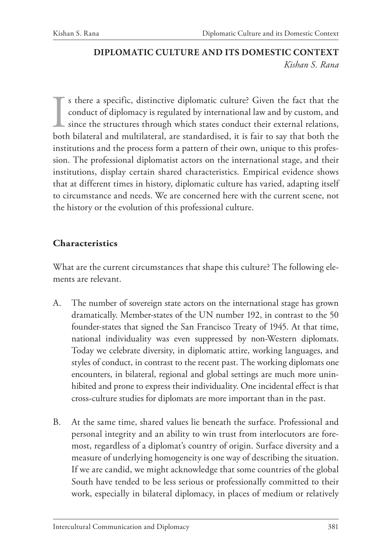# **DIPLOMATIC CULTURE AND ITS DOMESTIC CONTEXT** *Kishan S. Rana*

I s there a specific, distinctive diplomatic culture? Given the fact that the conduct of diplomacy is regulated by international law and by custom, and since the structures through which states conduct their external relations, both bilateral and multilateral, are standardised, it is fair to say that both the institutions and the process form a pattern of their own, unique to this profession. The professional diplomatist actors on the international stage, and their institutions, display certain shared characteristics. Empirical evidence shows that at different times in history, diplomatic culture has varied, adapting itself to circumstance and needs. We are concerned here with the current scene, not the history or the evolution of this professional culture.

## **Characteristics**

What are the current circumstances that shape this culture? The following elements are relevant.

- A. The number of sovereign state actors on the international stage has grown dramatically. Member-states of the UN number 192, in contrast to the 50 founder-states that signed the San Francisco Treaty of 1945. At that time, national individuality was even suppressed by non-Western diplomats. Today we celebrate diversity, in diplomatic attire, working languages, and styles of conduct, in contrast to the recent past. The working diplomats one encounters, in bilateral, regional and global settings are much more uninhibited and prone to express their individuality. One incidental effect is that cross-culture studies for diplomats are more important than in the past.
- B. At the same time, shared values lie beneath the surface. Professional and personal integrity and an ability to win trust from interlocutors are foremost, regardless of a diplomat's country of origin. Surface diversity and a measure of underlying homogeneity is one way of describing the situation. If we are candid, we might acknowledge that some countries of the global South have tended to be less serious or professionally committed to their work, especially in bilateral diplomacy, in places of medium or relatively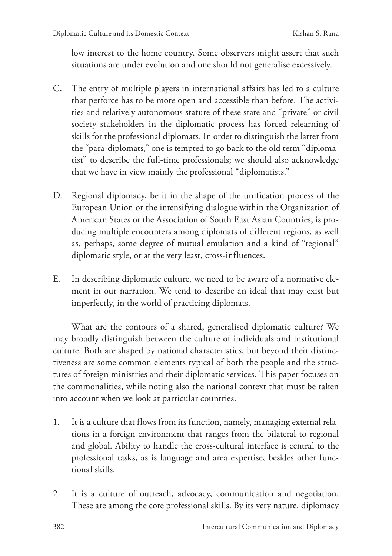low interest to the home country. Some observers might assert that such situations are under evolution and one should not generalise excessively.

- C. The entry of multiple players in international affairs has led to a culture that perforce has to be more open and accessible than before. The activities and relatively autonomous stature of these state and "private" or civil society stakeholders in the diplomatic process has forced relearning of skills for the professional diplomats. In order to distinguish the latter from the "para-diplomats," one is tempted to go back to the old term "diplomatist" to describe the full-time professionals; we should also acknowledge that we have in view mainly the professional "diplomatists."
- D. Regional diplomacy, be it in the shape of the unification process of the European Union or the intensifying dialogue within the Organization of American States or the Association of South East Asian Countries, is producing multiple encounters among diplomats of different regions, as well as, perhaps, some degree of mutual emulation and a kind of "regional" diplomatic style, or at the very least, cross-influences.
- E. In describing diplomatic culture, we need to be aware of a normative element in our narration. We tend to describe an ideal that may exist but imperfectly, in the world of practicing diplomats.

What are the contours of a shared, generalised diplomatic culture? We may broadly distinguish between the culture of individuals and institutional culture. Both are shaped by national characteristics, but beyond their distinctiveness are some common elements typical of both the people and the structures of foreign ministries and their diplomatic services. This paper focuses on the commonalities, while noting also the national context that must be taken into account when we look at particular countries.

- 1. It is a culture that flows from its function, namely, managing external relations in a foreign environment that ranges from the bilateral to regional and global. Ability to handle the cross-cultural interface is central to the professional tasks, as is language and area expertise, besides other functional skills.
- 2. It is a culture of outreach, advocacy, communication and negotiation. These are among the core professional skills. By its very nature, diplomacy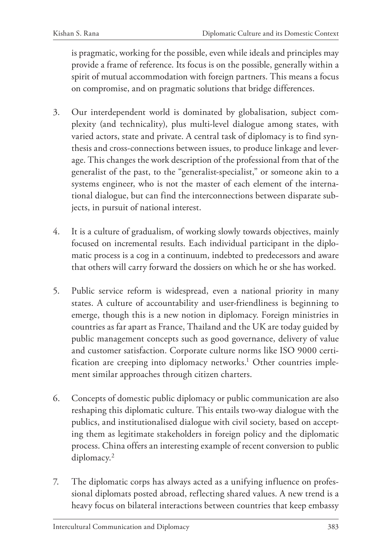is pragmatic, working for the possible, even while ideals and principles may provide a frame of reference. Its focus is on the possible, generally within a spirit of mutual accommodation with foreign partners. This means a focus on compromise, and on pragmatic solutions that bridge differences.

- 3. Our interdependent world is dominated by globalisation, subject complexity (and technicality), plus multi-level dialogue among states, with varied actors, state and private. A central task of diplomacy is to find synthesis and cross-connections between issues, to produce linkage and leverage. This changes the work description of the professional from that of the generalist of the past, to the "generalist-specialist," or someone akin to a systems engineer, who is not the master of each element of the international dialogue, but can find the interconnections between disparate subjects, in pursuit of national interest.
- 4. It is a culture of gradualism, of working slowly towards objectives, mainly focused on incremental results. Each individual participant in the diplomatic process is a cog in a continuum, indebted to predecessors and aware that others will carry forward the dossiers on which he or she has worked.
- 5. Public service reform is widespread, even a national priority in many states. A culture of accountability and user-friendliness is beginning to emerge, though this is a new notion in diplomacy. Foreign ministries in countries as far apart as France, Thailand and the UK are today guided by public management concepts such as good governance, delivery of value and customer satisfaction. Corporate culture norms like ISO 9000 certification are creeping into diplomacy networks.<sup>1</sup> Other countries implement similar approaches through citizen charters.
- 6. Concepts of domestic public diplomacy or public communication are also reshaping this diplomatic culture. This entails two-way dialogue with the publics, and institutionalised dialogue with civil society, based on accepting them as legitimate stakeholders in foreign policy and the diplomatic process. China offers an interesting example of recent conversion to public diplomacy.2
- 7. The diplomatic corps has always acted as a unifying influence on professional diplomats posted abroad, reflecting shared values. A new trend is a heavy focus on bilateral interactions between countries that keep embassy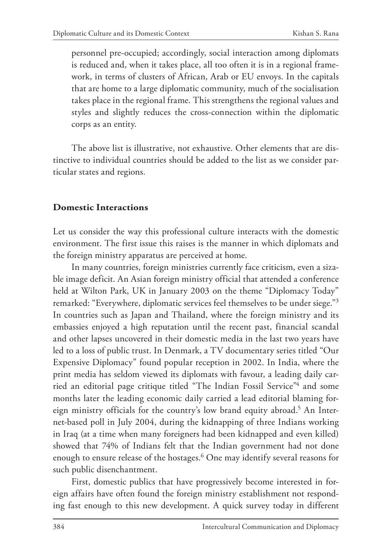personnel pre-occupied; accordingly, social interaction among diplomats is reduced and, when it takes place, all too often it is in a regional framework, in terms of clusters of African, Arab or EU envoys. In the capitals that are home to a large diplomatic community, much of the socialisation takes place in the regional frame. This strengthens the regional values and styles and slightly reduces the cross-connection within the diplomatic corps as an entity.

The above list is illustrative, not exhaustive. Other elements that are distinctive to individual countries should be added to the list as we consider particular states and regions.

### **Domestic Interactions**

Let us consider the way this professional culture interacts with the domestic environment. The first issue this raises is the manner in which diplomats and the foreign ministry apparatus are perceived at home.

In many countries, foreign ministries currently face criticism, even a sizable image deficit. An Asian foreign ministry official that attended a conference held at Wilton Park, UK in January 2003 on the theme "Diplomacy Today" remarked: "Everywhere, diplomatic services feel themselves to be under siege."3 In countries such as Japan and Thailand, where the foreign ministry and its embassies enjoyed a high reputation until the recent past, financial scandal and other lapses uncovered in their domestic media in the last two years have led to a loss of public trust. In Denmark, a TV documentary series titled "Our Expensive Diplomacy" found popular reception in 2002. In India, where the print media has seldom viewed its diplomats with favour, a leading daily carried an editorial page critique titled "The Indian Fossil Service"<sup>4</sup> and some months later the leading economic daily carried a lead editorial blaming foreign ministry officials for the country's low brand equity abroad.<sup>5</sup> An Internet-based poll in July 2004, during the kidnapping of three Indians working in Iraq (at a time when many foreigners had been kidnapped and even killed) showed that 74% of Indians felt that the Indian government had not done enough to ensure release of the hostages.6 One may identify several reasons for such public disenchantment.

First, domestic publics that have progressively become interested in foreign affairs have often found the foreign ministry establishment not responding fast enough to this new development. A quick survey today in different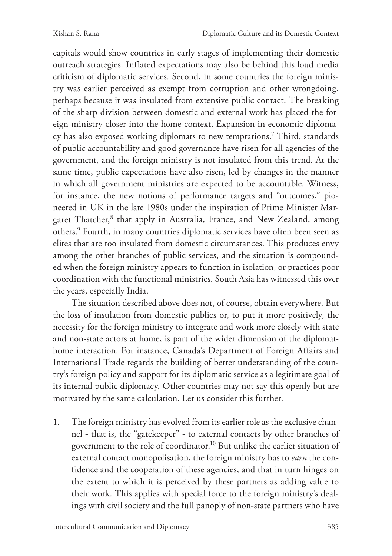capitals would show countries in early stages of implementing their domestic outreach strategies. Inflated expectations may also be behind this loud media criticism of diplomatic services. Second, in some countries the foreign ministry was earlier perceived as exempt from corruption and other wrongdoing, perhaps because it was insulated from extensive public contact. The breaking of the sharp division between domestic and external work has placed the foreign ministry closer into the home context. Expansion in economic diplomacy has also exposed working diplomats to new temptations.7 Third, standards of public accountability and good governance have risen for all agencies of the government, and the foreign ministry is not insulated from this trend. At the same time, public expectations have also risen, led by changes in the manner in which all government ministries are expected to be accountable. Witness, for instance, the new notions of performance targets and "outcomes," pioneered in UK in the late 1980s under the inspiration of Prime Minister Margaret Thatcher,<sup>8</sup> that apply in Australia, France, and New Zealand, among others.9 Fourth, in many countries diplomatic services have often been seen as elites that are too insulated from domestic circumstances. This produces envy among the other branches of public services, and the situation is compounded when the foreign ministry appears to function in isolation, or practices poor coordination with the functional ministries. South Asia has witnessed this over the years, especially India.

The situation described above does not, of course, obtain everywhere. But the loss of insulation from domestic publics or, to put it more positively, the necessity for the foreign ministry to integrate and work more closely with state and non-state actors at home, is part of the wider dimension of the diplomathome interaction. For instance, Canada's Department of Foreign Affairs and International Trade regards the building of better understanding of the country's foreign policy and support for its diplomatic service as a legitimate goal of its internal public diplomacy. Other countries may not say this openly but are motivated by the same calculation. Let us consider this further.

1. The foreign ministry has evolved from its earlier role as the exclusive channel - that is, the "gatekeeper" - to external contacts by other branches of government to the role of coordinator.10 But unlike the earlier situation of external contact monopolisation, the foreign ministry has to *earn* the confidence and the cooperation of these agencies, and that in turn hinges on the extent to which it is perceived by these partners as adding value to their work. This applies with special force to the foreign ministry's dealings with civil society and the full panoply of non-state partners who have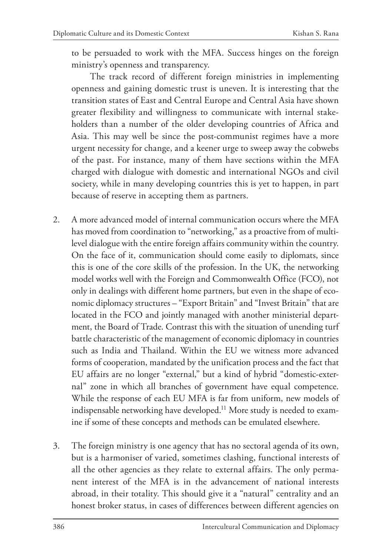to be persuaded to work with the MFA. Success hinges on the foreign ministry's openness and transparency.

The track record of different foreign ministries in implementing openness and gaining domestic trust is uneven. It is interesting that the transition states of East and Central Europe and Central Asia have shown greater flexibility and willingness to communicate with internal stakeholders than a number of the older developing countries of Africa and Asia. This may well be since the post-communist regimes have a more urgent necessity for change, and a keener urge to sweep away the cobwebs of the past. For instance, many of them have sections within the MFA charged with dialogue with domestic and international NGOs and civil society, while in many developing countries this is yet to happen, in part because of reserve in accepting them as partners.

- 2. A more advanced model of internal communication occurs where the MFA has moved from coordination to "networking," as a proactive from of multilevel dialogue with the entire foreign affairs community within the country. On the face of it, communication should come easily to diplomats, since this is one of the core skills of the profession. In the UK, the networking model works well with the Foreign and Commonwealth Office (FCO), not only in dealings with different home partners, but even in the shape of economic diplomacy structures – "Export Britain" and "Invest Britain" that are located in the FCO and jointly managed with another ministerial department, the Board of Trade. Contrast this with the situation of unending turf battle characteristic of the management of economic diplomacy in countries such as India and Thailand. Within the EU we witness more advanced forms of cooperation, mandated by the unification process and the fact that EU affairs are no longer "external," but a kind of hybrid "domestic-external" zone in which all branches of government have equal competence. While the response of each EU MFA is far from uniform, new models of indispensable networking have developed.<sup>11</sup> More study is needed to examine if some of these concepts and methods can be emulated elsewhere.
- 3. The foreign ministry is one agency that has no sectoral agenda of its own, but is a harmoniser of varied, sometimes clashing, functional interests of all the other agencies as they relate to external affairs. The only permanent interest of the MFA is in the advancement of national interests abroad, in their totality. This should give it a "natural" centrality and an honest broker status, in cases of differences between different agencies on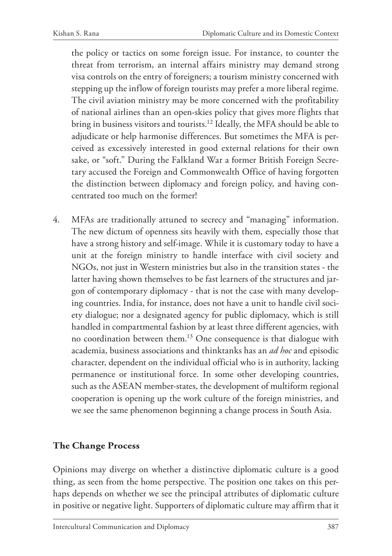the policy or tactics on some foreign issue. For instance, to counter the threat from terrorism, an internal affairs ministry may demand strong visa controls on the entry of foreigners; a tourism ministry concerned with stepping up the inflow of foreign tourists may prefer a more liberal regime. The civil aviation ministry may be more concerned with the profitability of national airlines than an open-skies policy that gives more flights that bring in business visitors and tourists.12 Ideally, the MFA should be able to adjudicate or help harmonise differences. But sometimes the MFA is perceived as excessively interested in good external relations for their own sake, or "soft." During the Falkland War a former British Foreign Secretary accused the Foreign and Commonwealth Office of having forgotten the distinction between diplomacy and foreign policy, and having concentrated too much on the former!

4. MFAs are traditionally attuned to secrecy and "managing" information. The new dictum of openness sits heavily with them, especially those that have a strong history and self-image. While it is customary today to have a unit at the foreign ministry to handle interface with civil society and NGOs, not just in Western ministries but also in the transition states - the latter having shown themselves to be fast learners of the structures and jargon of contemporary diplomacy - that is not the case with many developing countries. India, for instance, does not have a unit to handle civil society dialogue; nor a designated agency for public diplomacy, which is still handled in compartmental fashion by at least three different agencies, with no coordination between them.13 One consequence is that dialogue with academia, business associations and thinktanks has an *ad hoc* and episodic character, dependent on the individual official who is in authority, lacking permanence or institutional force. In some other developing countries, such as the ASEAN member-states, the development of multiform regional cooperation is opening up the work culture of the foreign ministries, and we see the same phenomenon beginning a change process in South Asia.

#### **The Change Process**

Opinions may diverge on whether a distinctive diplomatic culture is a good thing, as seen from the home perspective. The position one takes on this perhaps depends on whether we see the principal attributes of diplomatic culture in positive or negative light. Supporters of diplomatic culture may affirm that it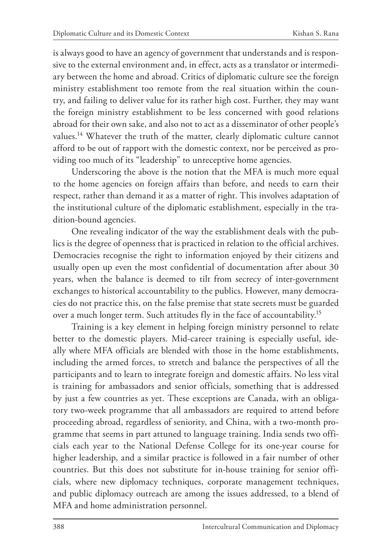is always good to have an agency of government that understands and is responsive to the external environment and, in effect, acts as a translator or intermediary between the home and abroad. Critics of diplomatic culture see the foreign ministry establishment too remote from the real situation within the country, and failing to deliver value for its rather high cost. Further, they may want the foreign ministry establishment to be less concerned with good relations abroad for their own sake, and also not to act as a disseminator of other people's values.<sup>14</sup> Whatever the truth of the matter, clearly diplomatic culture cannot afford to be out of rapport with the domestic context, nor be perceived as providing too much of its "leadership" to unreceptive home agencies.

Underscoring the above is the notion that the MFA is much more equal to the home agencies on foreign affairs than before, and needs to earn their respect, rather than demand it as a matter of right. This involves adaptation of the institutional culture of the diplomatic establishment, especially in the tradition-bound agencies.

One revealing indicator of the way the establishment deals with the publics is the degree of openness that is practiced in relation to the official archives. Democracies recognise the right to information enjoyed by their citizens and usually open up even the most confidential of documentation after about 30 years, when the balance is deemed to tilt from secrecy of inter-government exchanges to historical accountability to the publics. However, many democracies do not practice this, on the false premise that state secrets must be guarded over a much longer term. Such attitudes fly in the face of accountability.15

Training is a key element in helping foreign ministry personnel to relate better to the domestic players. Mid-career training is especially useful, ideally where MFA officials are blended with those in the home establishments, including the armed forces, to stretch and balance the perspectives of all the participants and to learn to integrate foreign and domestic affairs. No less vital is training for ambassadors and senior officials, something that is addressed by just a few countries as yet. These exceptions are Canada, with an obligatory two-week programme that all ambassadors are required to attend before proceeding abroad, regardless of seniority, and China, with a two-month programme that seems in part attuned to language training. India sends two officials each year to the National Defense College for its one-year course for higher leadership, and a similar practice is followed in a fair number of other countries. But this does not substitute for in-house training for senior officials, where new diplomacy techniques, corporate management techniques, and public diplomacy outreach are among the issues addressed, to a blend of MFA and home administration personnel.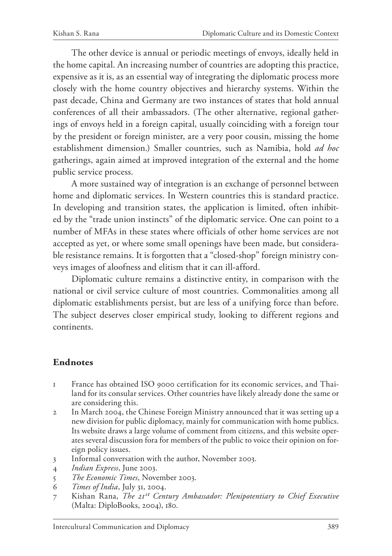The other device is annual or periodic meetings of envoys, ideally held in the home capital. An increasing number of countries are adopting this practice, expensive as it is, as an essential way of integrating the diplomatic process more closely with the home country objectives and hierarchy systems. Within the past decade, China and Germany are two instances of states that hold annual conferences of all their ambassadors. (The other alternative, regional gatherings of envoys held in a foreign capital, usually coinciding with a foreign tour by the president or foreign minister, are a very poor cousin, missing the home establishment dimension.) Smaller countries, such as Namibia, hold *ad hoc* gatherings, again aimed at improved integration of the external and the home public service process.

A more sustained way of integration is an exchange of personnel between home and diplomatic services. In Western countries this is standard practice. In developing and transition states, the application is limited, often inhibited by the "trade union instincts" of the diplomatic service. One can point to a number of MFAs in these states where officials of other home services are not accepted as yet, or where some small openings have been made, but considerable resistance remains. It is forgotten that a "closed-shop" foreign ministry conveys images of aloofness and elitism that it can ill-afford.

Diplomatic culture remains a distinctive entity, in comparison with the national or civil service culture of most countries. Commonalities among all diplomatic establishments persist, but are less of a unifying force than before. The subject deserves closer empirical study, looking to different regions and continents.

### **Endnotes**

- 1 France has obtained ISO 9000 certification for its economic services, and Thailand for its consular services. Other countries have likely already done the same or are considering this.
- 2 In March 2004, the Chinese Foreign Ministry announced that it was setting up a new division for public diplomacy, mainly for communication with home publics. Its website draws a large volume of comment from citizens, and this website operates several discussion fora for members of the public to voice their opinion on foreign policy issues.
- 3 Informal conversation with the author, November 2003.
- 4 *Indian Express*, June 2003.
- 5 *The Economic Times*, November 2003.
- 6 *Times of India*, July 31, 2004.
- 7 Kishan Rana, *The 21st Century Ambassador: Plenipotentiary to Chief Executive*  (Malta: DiploBooks, 2004), 180.